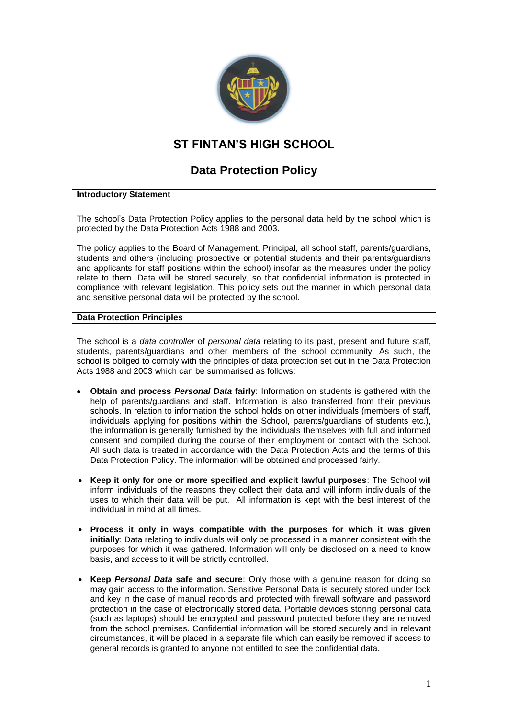

# **ST FINTAN'S HIGH SCHOOL**

# **Data Protection Policy**

### **Introductory Statement**

The school's Data Protection Policy applies to the personal data held by the school which is protected by the Data Protection Acts 1988 and 2003.

The policy applies to the Board of Management, Principal, all school staff, parents/guardians, students and others (including prospective or potential students and their parents/guardians and applicants for staff positions within the school) insofar as the measures under the policy relate to them. Data will be stored securely, so that confidential information is protected in compliance with relevant legislation. This policy sets out the manner in which personal data and sensitive personal data will be protected by the school.

### **Data Protection Principles**

The school is a *data controller* of *personal data* relating to its past, present and future staff, students, parents/guardians and other members of the school community. As such, the school is obliged to comply with the principles of data protection set out in the Data Protection Acts 1988 and 2003 which can be summarised as follows:

- **Obtain and process** *Personal Data* **fairly**: Information on students is gathered with the help of parents/guardians and staff. Information is also transferred from their previous schools. In relation to information the school holds on other individuals (members of staff, individuals applying for positions within the School, parents/guardians of students etc.), the information is generally furnished by the individuals themselves with full and informed consent and compiled during the course of their employment or contact with the School. All such data is treated in accordance with the Data Protection Acts and the terms of this Data Protection Policy. The information will be obtained and processed fairly.
- **Keep it only for one or more specified and explicit lawful purposes**: The School will inform individuals of the reasons they collect their data and will inform individuals of the uses to which their data will be put. All information is kept with the best interest of the individual in mind at all times.
- **Process it only in ways compatible with the purposes for which it was given initially**: Data relating to individuals will only be processed in a manner consistent with the purposes for which it was gathered. Information will only be disclosed on a need to know basis, and access to it will be strictly controlled.
- **Keep** *Personal Data* **safe and secure**: Only those with a genuine reason for doing so may gain access to the information. Sensitive Personal Data is securely stored under lock and key in the case of manual records and protected with firewall software and password protection in the case of electronically stored data. Portable devices storing personal data (such as laptops) should be encrypted and password protected before they are removed from the school premises. Confidential information will be stored securely and in relevant circumstances, it will be placed in a separate file which can easily be removed if access to general records is granted to anyone not entitled to see the confidential data.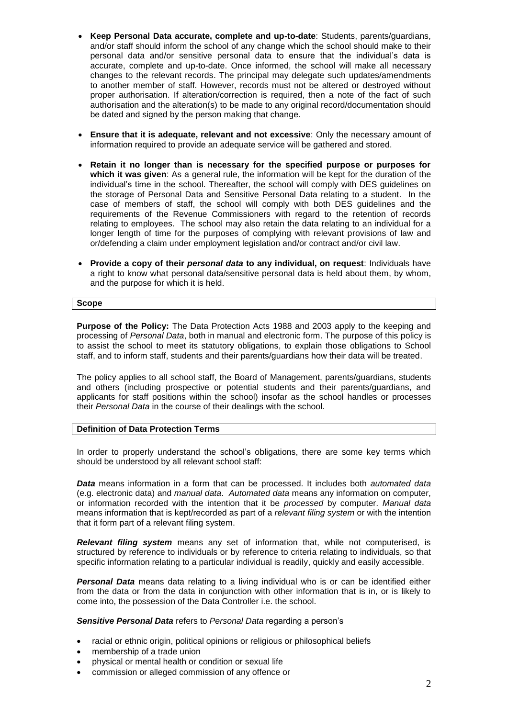- **Keep Personal Data accurate, complete and up-to-date**: Students, parents/guardians, and/or staff should inform the school of any change which the school should make to their personal data and/or sensitive personal data to ensure that the individual's data is accurate, complete and up-to-date. Once informed, the school will make all necessary changes to the relevant records. The principal may delegate such updates/amendments to another member of staff. However, records must not be altered or destroyed without proper authorisation. If alteration/correction is required, then a note of the fact of such authorisation and the alteration(s) to be made to any original record/documentation should be dated and signed by the person making that change.
- **Ensure that it is adequate, relevant and not excessive**: Only the necessary amount of information required to provide an adequate service will be gathered and stored.
- **Retain it no longer than is necessary for the specified purpose or purposes for which it was given**: As a general rule, the information will be kept for the duration of the individual's time in the school. Thereafter, the school will comply with DES guidelines on the storage of Personal Data and Sensitive Personal Data relating to a student. In the case of members of staff, the school will comply with both DES guidelines and the requirements of the Revenue Commissioners with regard to the retention of records relating to employees. The school may also retain the data relating to an individual for a longer length of time for the purposes of complying with relevant provisions of law and or/defending a claim under employment legislation and/or contract and/or civil law.
- **Provide a copy of their** *personal data* **to any individual, on request**: Individuals have a right to know what personal data/sensitive personal data is held about them, by whom, and the purpose for which it is held.

### **Scope**

**Purpose of the Policy:** The Data Protection Acts 1988 and 2003 apply to the keeping and processing of *Personal Data*, both in manual and electronic form. The purpose of this policy is to assist the school to meet its statutory obligations, to explain those obligations to School staff, and to inform staff, students and their parents/guardians how their data will be treated.

The policy applies to all school staff, the Board of Management, parents/guardians, students and others (including prospective or potential students and their parents/guardians, and applicants for staff positions within the school) insofar as the school handles or processes their *Personal Data* in the course of their dealings with the school.

# **Definition of Data Protection Terms**

In order to properly understand the school's obligations, there are some key terms which should be understood by all relevant school staff:

*Data* means information in a form that can be processed. It includes both *automated data* (e.g. electronic data) and *manual data*. *Automated data* means any information on computer, or information recorded with the intention that it be *processed* by computer. *Manual data* means information that is kept/recorded as part of a *relevant filing system* or with the intention that it form part of a relevant filing system.

*Relevant filing system* means any set of information that, while not computerised, is structured by reference to individuals or by reference to criteria relating to individuals, so that specific information relating to a particular individual is readily, quickly and easily accessible.

*Personal Data* means data relating to a living individual who is or can be identified either from the data or from the data in conjunction with other information that is in, or is likely to come into, the possession of the Data Controller i.e. the school.

*Sensitive Personal Data* refers to *Personal Data* regarding a person's

- racial or ethnic origin, political opinions or religious or philosophical beliefs
- membership of a trade union
- physical or mental health or condition or sexual life
- commission or alleged commission of any offence or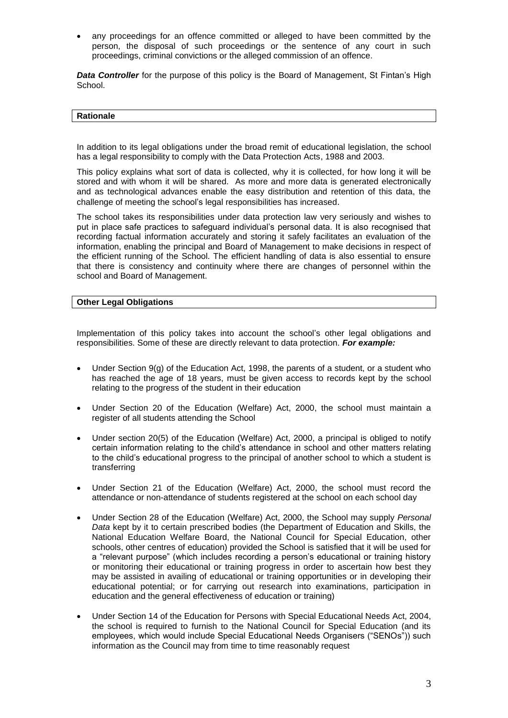any proceedings for an offence committed or alleged to have been committed by the person, the disposal of such proceedings or the sentence of any court in such proceedings, criminal convictions or the alleged commission of an offence.

**Data Controller** for the purpose of this policy is the Board of Management, St Fintan's High School.

#### **Rationale**

In addition to its legal obligations under the broad remit of educational legislation, the school has a legal responsibility to comply with the Data Protection Acts, 1988 and 2003.

This policy explains what sort of data is collected, why it is collected, for how long it will be stored and with whom it will be shared. As more and more data is generated electronically and as technological advances enable the easy distribution and retention of this data, the challenge of meeting the school's legal responsibilities has increased.

The school takes its responsibilities under data protection law very seriously and wishes to put in place safe practices to safeguard individual's personal data. It is also recognised that recording factual information accurately and storing it safely facilitates an evaluation of the information, enabling the principal and Board of Management to make decisions in respect of the efficient running of the School. The efficient handling of data is also essential to ensure that there is consistency and continuity where there are changes of personnel within the school and Board of Management.

### **Other Legal Obligations**

Implementation of this policy takes into account the school's other legal obligations and responsibilities. Some of these are directly relevant to data protection. *For example:*

- Under Section 9(g) of the [Education Act, 1998,](http://acts2.oireachtas.ie/zza51y1998.1.html) the parents of a student, or a student who has reached the age of 18 years, must be given access to records kept by the school relating to the progress of the student in their education
- Under Section 20 of the [Education \(Welfare\) Act, 2000,](http://www.oireachtas.ie/documents/bills28/acts/2000/a2200.pdf) the school must maintain a register of all students attending the School
- Under section 20(5) of the Education (Welfare) Act, 2000, a principal is obliged to notify certain information relating to the child's attendance in school and other matters relating to the child's educational progress to the principal of another school to which a student is transferring
- Under Section 21 of the [Education \(Welfare\) Act, 2000,](http://www.oireachtas.ie/documents/bills28/acts/2000/a2200.pdf) the school must record the attendance or non-attendance of students registered at the school on each school day
- Under Section 28 of the [Education \(Welfare\) Act, 2000,](http://www.oireachtas.ie/documents/bills28/acts/2000/a2200.pdf) the School may supply *Personal Data* kept by it to certain prescribed bodies (the Department of Education and Skills, the National Education Welfare Board, the National Council for Special Education, other schools, other centres of education) provided the School is satisfied that it will be used for a "relevant purpose" (which includes recording a person's educational or training history or monitoring their educational or training progress in order to ascertain how best they may be assisted in availing of educational or training opportunities or in developing their educational potential; or for carrying out research into examinations, participation in education and the general effectiveness of education or training)
- Under Section 14 of the Education for Persons with Special Educational Needs Act, 2004, the school is required to furnish to the National Council for Special Education (and its employees, which would include Special Educational Needs Organisers ("SENOs")) such information as the Council may from time to time reasonably request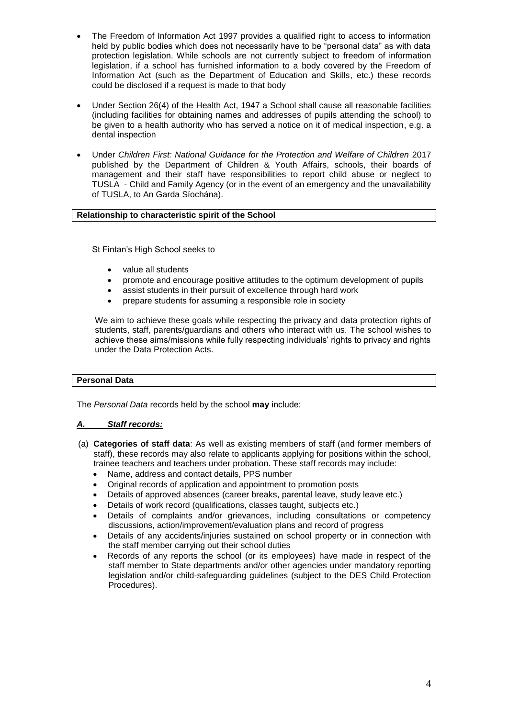- The Freedom of Information Act 1997 provides a qualified right to access to information held by public bodies which does not necessarily have to be "personal data" as with data protection legislation. While schools are not currently subject to freedom of information legislation, if a school has furnished information to a body covered by the Freedom of Information Act (such as the Department of Education and Skills, etc.) these records could be disclosed if a request is made to that body
- Under Section 26(4) of the Health Act, 1947 a School shall cause all reasonable facilities (including facilities for obtaining names and addresses of pupils attending the school) to be given to a health authority who has served a notice on it of medical inspection, e.g. a dental inspection
- Under *Children First: National Guidance for the Protection and Welfare of Children* 2017 published by the Department of Children & Youth Affairs, schools, their boards of management and their staff have responsibilities to report child abuse or neglect to TUSLA - Child and Family Agency (or in the event of an emergency and the unavailability of TUSLA, to An Garda Síochána).

### **Relationship to characteristic spirit of the School**

St Fintan's High School seeks to

- value all students
- promote and encourage positive attitudes to the optimum development of pupils
- assist students in their pursuit of excellence through hard work
- prepare students for assuming a responsible role in society

We aim to achieve these goals while respecting the privacy and data protection rights of students, staff, parents/guardians and others who interact with us. The school wishes to achieve these aims/missions while fully respecting individuals' rights to privacy and rights under the Data Protection Acts.

### **Personal Data**

The *Personal Data* records held by the school **may** include:

# *A. Staff records:*

- (a) **Categories of staff data**: As well as existing members of staff (and former members of staff), these records may also relate to applicants applying for positions within the school, trainee teachers and teachers under probation. These staff records may include:
	- Name, address and contact details, PPS number
	- Original records of application and appointment to promotion posts
	- Details of approved absences (career breaks, parental leave, study leave etc.)
	- Details of work record (qualifications, classes taught, subjects etc.)
	- Details of complaints and/or grievances, including consultations or competency discussions, action/improvement/evaluation plans and record of progress
	- Details of any accidents/injuries sustained on school property or in connection with the staff member carrying out their school duties
	- Records of any reports the school (or its employees) have made in respect of the staff member to State departments and/or other agencies under mandatory reporting legislation and/or child-safeguarding guidelines (subject to the DES Child Protection Procedures).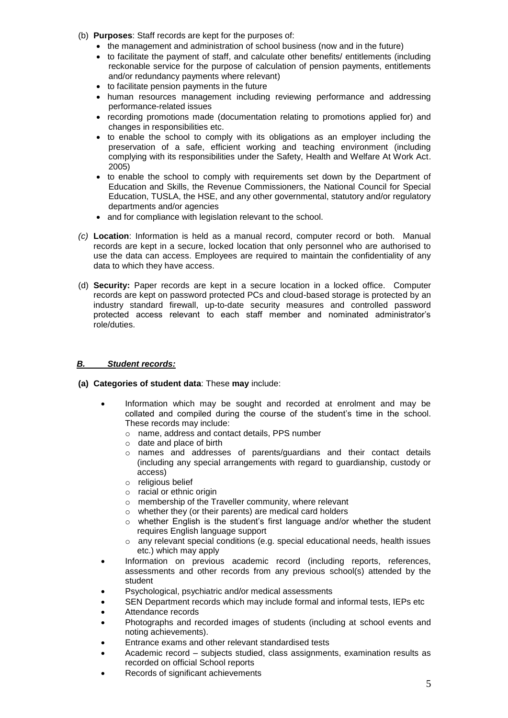- (b) **Purposes**: Staff records are kept for the purposes of:
	- the management and administration of school business (now and in the future)
	- to facilitate the payment of staff, and calculate other benefits/ entitlements (including reckonable service for the purpose of calculation of pension payments, entitlements and/or redundancy payments where relevant)
	- to facilitate pension payments in the future
	- human resources management including reviewing performance and addressing performance-related issues
	- recording promotions made (documentation relating to promotions applied for) and changes in responsibilities etc.
	- to enable the school to comply with its obligations as an employer including the preservation of a safe, efficient working and teaching environment (including complying with its responsibilities under the Safety, Health and Welfare At Work Act. 2005)
	- to enable the school to comply with requirements set down by the Department of Education and Skills, the Revenue Commissioners, the National Council for Special Education, TUSLA, the HSE, and any other governmental, statutory and/or regulatory departments and/or agencies
	- and for compliance with legislation relevant to the school.
- *(c)* **Location**: Information is held as a manual record, computer record or both. Manual records are kept in a secure, locked location that only personnel who are authorised to use the data can access. Employees are required to maintain the confidentiality of any data to which they have access.
- (d) **Security:** Paper records are kept in a secure location in a locked office. Computer records are kept on password protected PCs and cloud-based storage is protected by an industry standard firewall, up-to-date security measures and controlled password protected access relevant to each staff member and nominated administrator's role/duties.

# *B. Student records:*

- **(a) Categories of student data**: These **may** include:
	- Information which may be sought and recorded at enrolment and may be collated and compiled during the course of the student's time in the school. These records may include:
		- o name, address and contact details, PPS number
		- o date and place of birth
		- o names and addresses of parents/guardians and their contact details (including any special arrangements with regard to guardianship, custody or access)
		- o religious belief
		- o racial or ethnic origin
		- o membership of the Traveller community, where relevant
		- o whether they (or their parents) are medical card holders
		- $\circ$  whether English is the student's first language and/or whether the student requires English language support
		- o any relevant special conditions (e.g. special educational needs, health issues etc.) which may apply
	- Information on previous academic record (including reports, references, assessments and other records from any previous school(s) attended by the student
	- Psychological, psychiatric and/or medical assessments
	- SEN Department records which may include formal and informal tests, IEPs etc
	- Attendance records
	- Photographs and recorded images of students (including at school events and noting achievements).
	- Entrance exams and other relevant standardised tests
	- Academic record subjects studied, class assignments, examination results as recorded on official School reports
	- Records of significant achievements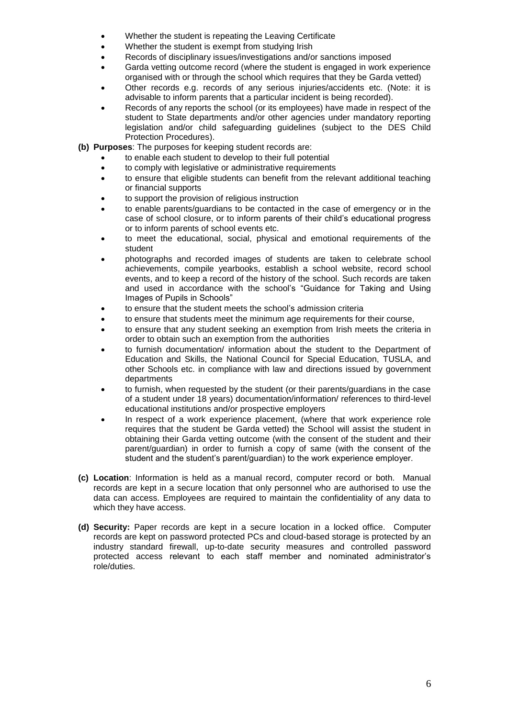- Whether the student is repeating the Leaving Certificate
- Whether the student is exempt from studying Irish
- Records of disciplinary issues/investigations and/or sanctions imposed
- Garda vetting outcome record (where the student is engaged in work experience organised with or through the school which requires that they be Garda vetted)
- Other records e.g. records of any serious injuries/accidents etc. (Note: it is advisable to inform parents that a particular incident is being recorded).
- Records of any reports the school (or its employees) have made in respect of the student to State departments and/or other agencies under mandatory reporting legislation and/or child safeguarding guidelines (subject to the DES Child Protection Procedures).
- **(b) Purposes**: The purposes for keeping student records are:
	- to enable each student to develop to their full potential
	- to comply with legislative or administrative requirements
	- to ensure that eligible students can benefit from the relevant additional teaching or financial supports
	- to support the provision of religious instruction
	- to enable parents/guardians to be contacted in the case of emergency or in the case of school closure, or to inform parents of their child's educational progress or to inform parents of school events etc.
	- to meet the educational, social, physical and emotional requirements of the student
	- photographs and recorded images of students are taken to celebrate school achievements, compile yearbooks, establish a school website, record school events, and to keep a record of the history of the school. Such records are taken and used in accordance with the school's "Guidance for Taking and Using Images of Pupils in Schools"
	- to ensure that the student meets the school's admission criteria
	- to ensure that students meet the minimum age requirements for their course,
	- to ensure that any student seeking an exemption from Irish meets the criteria in order to obtain such an exemption from the authorities
	- to furnish documentation/ information about the student to the Department of Education and Skills, the National Council for Special Education, TUSLA, and other Schools etc. in compliance with law and directions issued by government departments
	- to furnish, when requested by the student (or their parents/guardians in the case of a student under 18 years) documentation/information/ references to third-level educational institutions and/or prospective employers
	- In respect of a work experience placement, (where that work experience role requires that the student be Garda vetted) the School will assist the student in obtaining their Garda vetting outcome (with the consent of the student and their parent/guardian) in order to furnish a copy of same (with the consent of the student and the student's parent/guardian) to the work experience employer.
- **(c) Location**: Information is held as a manual record, computer record or both. Manual records are kept in a secure location that only personnel who are authorised to use the data can access. Employees are required to maintain the confidentiality of any data to which they have access.
- **(d) Security:** Paper records are kept in a secure location in a locked office. Computer records are kept on password protected PCs and cloud-based storage is protected by an industry standard firewall, up-to-date security measures and controlled password protected access relevant to each staff member and nominated administrator's role/duties.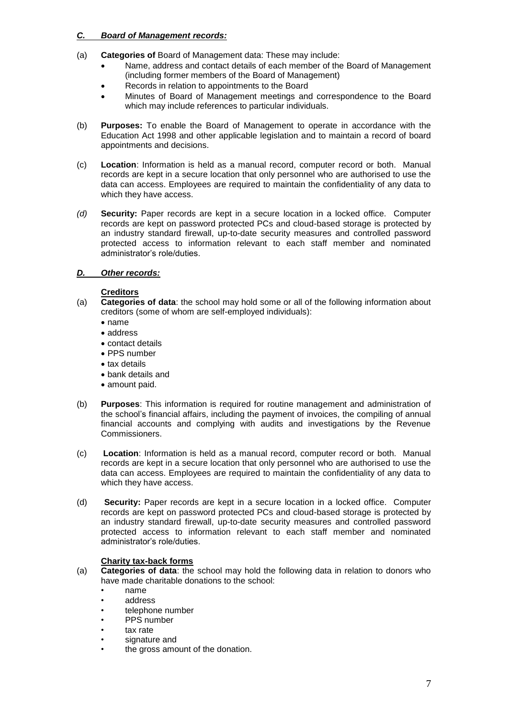# *C. Board of Management records:*

- (a) **Categories of** Board of Management data: These may include:
	- Name, address and contact details of each member of the Board of Management (including former members of the Board of Management)
	- Records in relation to appointments to the Board
	- Minutes of Board of Management meetings and correspondence to the Board which may include references to particular individuals.
- (b) **Purposes:** To enable the Board of Management to operate in accordance with the Education Act 1998 and other applicable legislation and to maintain a record of board appointments and decisions.
- (c) **Location**: Information is held as a manual record, computer record or both. Manual records are kept in a secure location that only personnel who are authorised to use the data can access. Employees are required to maintain the confidentiality of any data to which they have access.
- *(d)* **Security:** Paper records are kept in a secure location in a locked office. Computer records are kept on password protected PCs and cloud-based storage is protected by an industry standard firewall, up-to-date security measures and controlled password protected access to information relevant to each staff member and nominated administrator's role/duties.

# *D. Other records:*

# **Creditors**

- (a) **Categories of data**: the school may hold some or all of the following information about creditors (some of whom are self-employed individuals):
	- name
	- address
	- contact details
	- PPS number
	- tax details
	- bank details and
	- amount paid.
- (b) **Purposes**: This information is required for routine management and administration of the school's financial affairs, including the payment of invoices, the compiling of annual financial accounts and complying with audits and investigations by the Revenue Commissioners.
- (c) **Location**: Information is held as a manual record, computer record or both. Manual records are kept in a secure location that only personnel who are authorised to use the data can access. Employees are required to maintain the confidentiality of any data to which they have access.
- (d) **Security:** Paper records are kept in a secure location in a locked office. Computer records are kept on password protected PCs and cloud-based storage is protected by an industry standard firewall, up-to-date security measures and controlled password protected access to information relevant to each staff member and nominated administrator's role/duties.

# **Charity tax-back forms**

- (a) **Categories of data**: the school may hold the following data in relation to donors who have made charitable donations to the school:
	- name
	- address
	- telephone number
	- PPS number
	- tax rate
	- signature and
	- the gross amount of the donation.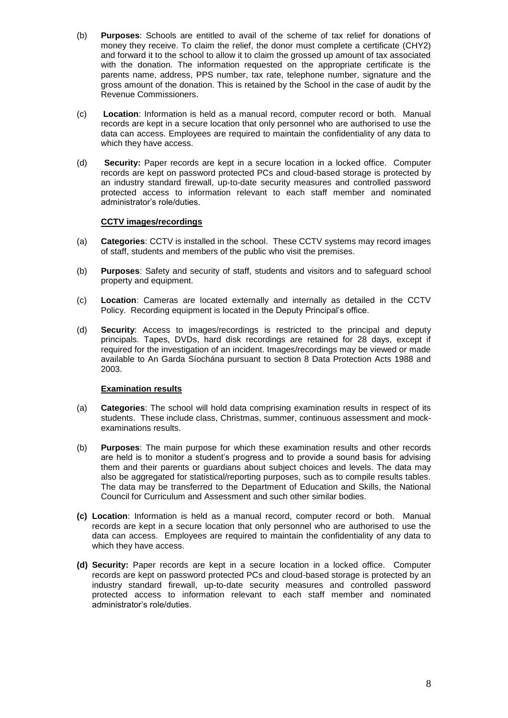- (b) **Purposes**: Schools are entitled to avail of the scheme of tax relief for donations of money they receive. To claim the relief, the donor must complete a certificate (CHY2) and forward it to the school to allow it to claim the grossed up amount of tax associated with the donation. The information requested on the appropriate certificate is the parents name, address, PPS number, tax rate, telephone number, signature and the gross amount of the donation. This is retained by the School in the case of audit by the Revenue Commissioners.
- (c) **Location**: Information is held as a manual record, computer record or both. Manual records are kept in a secure location that only personnel who are authorised to use the data can access. Employees are required to maintain the confidentiality of any data to which they have access.
- (d) **Security:** Paper records are kept in a secure location in a locked office. Computer records are kept on password protected PCs and cloud-based storage is protected by an industry standard firewall, up-to-date security measures and controlled password protected access to information relevant to each staff member and nominated administrator's role/duties.

# **CCTV images/recordings**

- (a) **Categories**: CCTV is installed in the school. These CCTV systems may record images of staff, students and members of the public who visit the premises.
- (b) **Purposes**: Safety and security of staff, students and visitors and to safeguard school property and equipment.
- (c) **Location**: Cameras are located externally and internally as detailed in the CCTV Policy. Recording equipment is located in the Deputy Principal's office.
- (d) **Security**: Access to images/recordings is restricted to the principal and deputy principals. Tapes, DVDs, hard disk recordings are retained for 28 days, except if required for the investigation of an incident. Images/recordings may be viewed or made available to An Garda Síochána pursuant to section 8 Data Protection Acts 1988 and 2003.

# **Examination results**

- (a) **Categories**: The school will hold data comprising examination results in respect of its students. These include class, Christmas, summer, continuous assessment and mockexaminations results.
- (b) **Purposes**: The main purpose for which these examination results and other records are held is to monitor a student's progress and to provide a sound basis for advising them and their parents or guardians about subject choices and levels. The data may also be aggregated for statistical/reporting purposes, such as to compile results tables. The data may be transferred to the Department of Education and Skills, the National Council for Curriculum and Assessment and such other similar bodies.
- **(c) Location**: Information is held as a manual record, computer record or both. Manual records are kept in a secure location that only personnel who are authorised to use the data can access. Employees are required to maintain the confidentiality of any data to which they have access.
- **(d) Security:** Paper records are kept in a secure location in a locked office. Computer records are kept on password protected PCs and cloud-based storage is protected by an industry standard firewall, up-to-date security measures and controlled password protected access to information relevant to each staff member and nominated administrator's role/duties.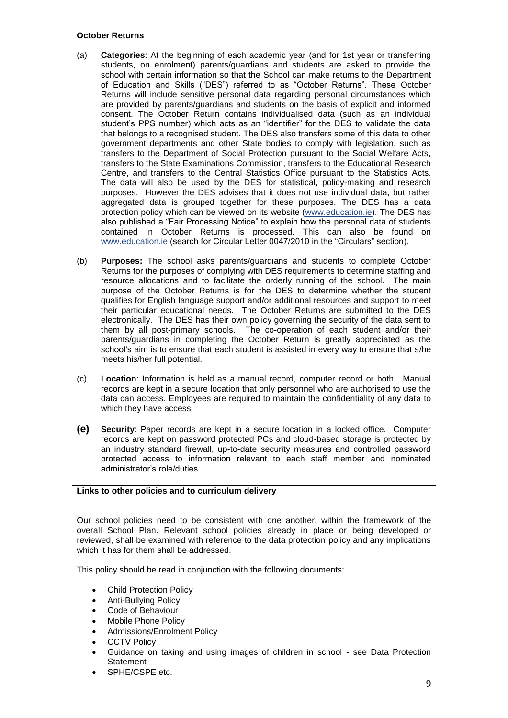### **October Returns**

- (a) **Categories**: At the beginning of each academic year (and for 1st year or transferring students, on enrolment) parents/guardians and students are asked to provide the school with certain information so that the School can make returns to the Department of Education and Skills ("DES") referred to as "October Returns". These October Returns will include sensitive personal data regarding personal circumstances which are provided by parents/guardians and students on the basis of explicit and informed consent. The October Return contains individualised data (such as an individual student's PPS number) which acts as an "identifier" for the DES to validate the data that belongs to a recognised student. The DES also transfers some of this data to other government departments and other State bodies to comply with legislation, such as transfers to the Department of Social Protection pursuant to the Social Welfare Acts, transfers to the State Examinations Commission, transfers to the Educational Research Centre, and transfers to the Central Statistics Office pursuant to the Statistics Acts. The data will also be used by the DES for statistical, policy-making and research purposes. However the DES advises that it does not use individual data, but rather aggregated data is grouped together for these purposes. The DES has a data protection policy which can be viewed on its website [\(www.education.ie\)](https://www.education.ie/en/). The DES has also published a "Fair Processing Notice" to explain how the personal data of students contained in October Returns is processed. This can also be found on [www.education.ie](https://www.education.ie/en/) (search for Circular Letter 0047/2010 in the "Circulars" section).
- (b) **Purposes:** The school asks parents/guardians and students to complete October Returns for the purposes of complying with DES requirements to determine staffing and resource allocations and to facilitate the orderly running of the school. The main purpose of the October Returns is for the DES to determine whether the student qualifies for English language support and/or additional resources and support to meet their particular educational needs. The October Returns are submitted to the DES electronically. The DES has their own policy governing the security of the data sent to them by all post-primary schools. The co-operation of each student and/or their parents/guardians in completing the October Return is greatly appreciated as the school's aim is to ensure that each student is assisted in every way to ensure that s/he meets his/her full potential.
- (c) **Location**: Information is held as a manual record, computer record or both. Manual records are kept in a secure location that only personnel who are authorised to use the data can access. Employees are required to maintain the confidentiality of any data to which they have access.
- **(e) Security**: Paper records are kept in a secure location in a locked office. Computer records are kept on password protected PCs and cloud-based storage is protected by an industry standard firewall, up-to-date security measures and controlled password protected access to information relevant to each staff member and nominated administrator's role/duties.

# **Links to other policies and to curriculum delivery**

Our school policies need to be consistent with one another, within the framework of the overall School Plan. Relevant school policies already in place or being developed or reviewed, shall be examined with reference to the data protection policy and any implications which it has for them shall be addressed.

This policy should be read in conjunction with the following documents:

- Child Protection Policy
- Anti-Bullying Policy
- Code of Behaviour
- Mobile Phone Policy
- Admissions/Enrolment Policy
- CCTV Policy
- Guidance on taking and using images of children in school see Data Protection **Statement**
- SPHE/CSPE etc.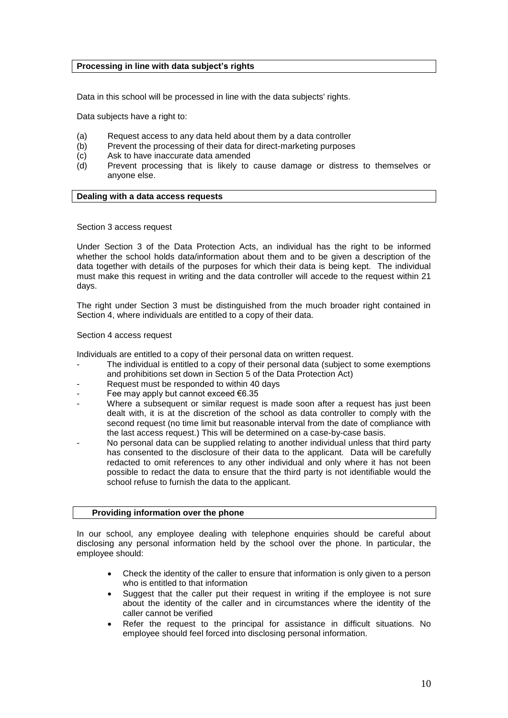### **Processing in line with data subject's rights**

Data in this school will be processed in line with the data subjects' rights.

Data subjects have a right to:

- (a) Request access to any data held about them by a data controller
- (b) Prevent the processing of their data for direct-marketing purposes
- (c) Ask to have inaccurate data amended
- (d) Prevent processing that is likely to cause damage or distress to themselves or anyone else.

### **Dealing with a data access requests**

#### Section 3 access request

Under Section 3 of the Data Protection Acts, an individual has the right to be informed whether the school holds data/information about them and to be given a description of the data together with details of the purposes for which their data is being kept. The individual must make this request in writing and the data controller will accede to the request within 21 days.

The right under Section 3 must be distinguished from the much broader right contained in Section 4, where individuals are entitled to a copy of their data.

#### Section 4 access request

Individuals are entitled to a copy of their personal data on written request.

- The individual is entitled to a copy of their personal data (subject to some exemptions and prohibitions set down in Section 5 of the Data Protection Act)
- Request must be responded to within 40 days
- Fee may apply but cannot exceed  $€6.35$
- Where a subsequent or similar request is made soon after a request has just been dealt with, it is at the discretion of the school as data controller to comply with the second request (no time limit but reasonable interval from the date of compliance with the last access request.) This will be determined on a case-by-case basis.
- No personal data can be supplied relating to another individual unless that third party has consented to the disclosure of their data to the applicant. Data will be carefully redacted to omit references to any other individual and only where it has not been possible to redact the data to ensure that the third party is not identifiable would the school refuse to furnish the data to the applicant.

### **Providing information over the phone**

In our school, any employee dealing with telephone enquiries should be careful about disclosing any personal information held by the school over the phone. In particular, the employee should:

- Check the identity of the caller to ensure that information is only given to a person who is entitled to that information
- Suggest that the caller put their request in writing if the employee is not sure about the identity of the caller and in circumstances where the identity of the caller cannot be verified
- Refer the request to the principal for assistance in difficult situations. No employee should feel forced into disclosing personal information.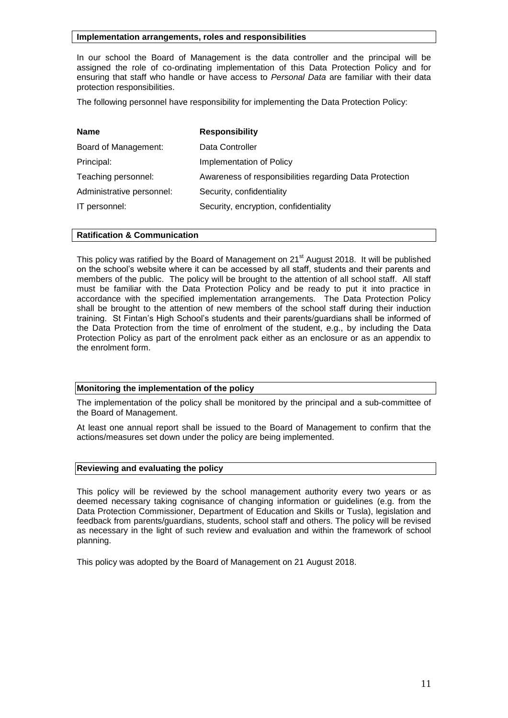### **Implementation arrangements, roles and responsibilities**

In our school the Board of Management is the data controller and the principal will be assigned the role of co-ordinating implementation of this Data Protection Policy and for ensuring that staff who handle or have access to *Personal Data* are familiar with their data protection responsibilities.

The following personnel have responsibility for implementing the Data Protection Policy:

| <b>Responsibility</b>                                   |
|---------------------------------------------------------|
| Data Controller                                         |
| Implementation of Policy                                |
| Awareness of responsibilities regarding Data Protection |
| Security, confidentiality                               |
| Security, encryption, confidentiality                   |
|                                                         |

### **Ratification & Communication**

This policy was ratified by the Board of Management on 21<sup>st</sup> August 2018. It will be published on the school's website where it can be accessed by all staff, students and their parents and members of the public. The policy will be brought to the attention of all school staff. All staff must be familiar with the Data Protection Policy and be ready to put it into practice in accordance with the specified implementation arrangements. The Data Protection Policy shall be brought to the attention of new members of the school staff during their induction training. St Fintan's High School's students and their parents/guardians shall be informed of the Data Protection from the time of enrolment of the student, e.g., by including the Data Protection Policy as part of the enrolment pack either as an enclosure or as an appendix to the enrolment form.

# **Monitoring the implementation of the policy**

The implementation of the policy shall be monitored by the principal and a sub-committee of the Board of Management.

At least one annual report shall be issued to the Board of Management to confirm that the actions/measures set down under the policy are being implemented.

### **Reviewing and evaluating the policy**

This policy will be reviewed by the school management authority every two years or as deemed necessary taking cognisance of changing information or guidelines (e.g. from the Data Protection Commissioner, Department of Education and Skills or Tusla), legislation and feedback from parents/guardians, students, school staff and others. The policy will be revised as necessary in the light of such review and evaluation and within the framework of school planning.

This policy was adopted by the Board of Management on 21 August 2018.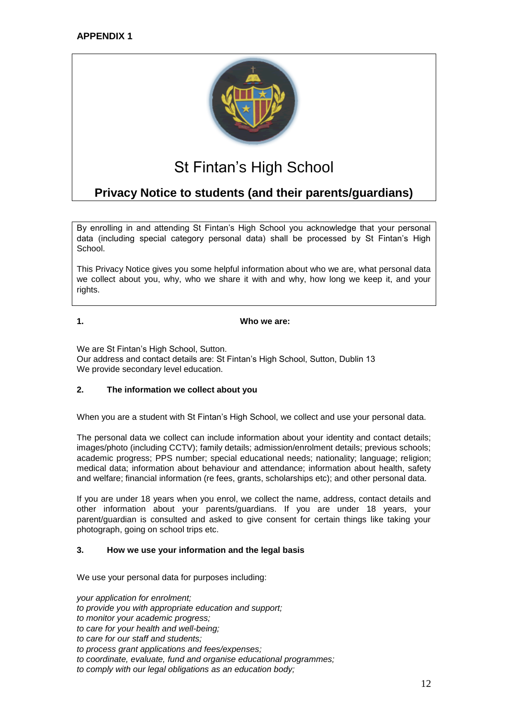

# St Fintan's High School

# **Privacy Notice to students (and their parents/guardians)**

By enrolling in and attending St Fintan's High School you acknowledge that your personal data (including special category personal data) shall be processed by St Fintan's High School.

This Privacy Notice gives you some helpful information about who we are, what personal data we collect about you, why, who we share it with and why, how long we keep it, and your rights.

**1. Who we are:**

We are St Fintan's High School, Sutton. Our address and contact details are: St Fintan's High School, Sutton, Dublin 13 We provide secondary level education.

# **2. The information we collect about you**

When you are a student with St Fintan's High School, we collect and use your personal data.

The personal data we collect can include information about your identity and contact details; images/photo (including CCTV); family details; admission/enrolment details; previous schools; academic progress; PPS number; special educational needs; nationality; language; religion; medical data; information about behaviour and attendance; information about health, safety and welfare; financial information (re fees, grants, scholarships etc); and other personal data.

If you are under 18 years when you enrol, we collect the name, address, contact details and other information about your parents/guardians. If you are under 18 years, your parent/guardian is consulted and asked to give consent for certain things like taking your photograph, going on school trips etc.

# **3. How we use your information and the legal basis**

We use your personal data for purposes including:

*your application for enrolment; to provide you with appropriate education and support; to monitor your academic progress; to care for your health and well-being; to care for our staff and students; to process grant applications and fees/expenses; to coordinate, evaluate, fund and organise educational programmes; to comply with our legal obligations as an education body;*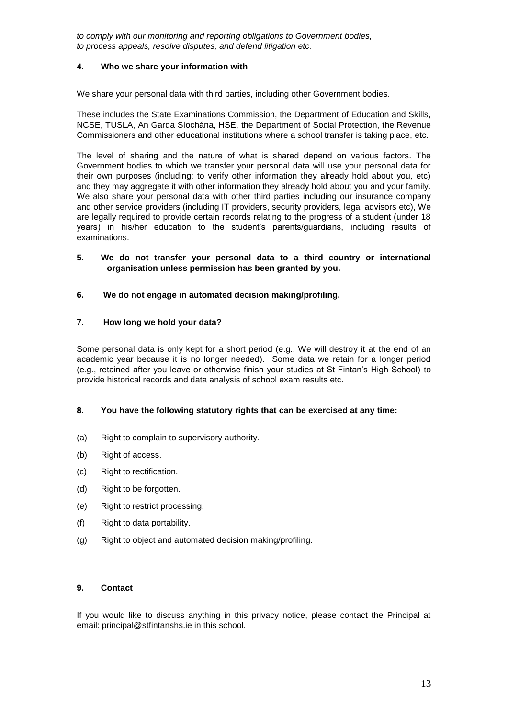*to comply with our monitoring and reporting obligations to Government bodies, to process appeals, resolve disputes, and defend litigation etc.* 

# **4. Who we share your information with**

We share your personal data with third parties, including other Government bodies.

These includes the State Examinations Commission, the Department of Education and Skills, NCSE, TUSLA, An Garda Síochána, HSE, the Department of Social Protection, the Revenue Commissioners and other educational institutions where a school transfer is taking place, etc.

The level of sharing and the nature of what is shared depend on various factors. The Government bodies to which we transfer your personal data will use your personal data for their own purposes (including: to verify other information they already hold about you, etc) and they may aggregate it with other information they already hold about you and your family. We also share your personal data with other third parties including our insurance company and other service providers (including IT providers, security providers, legal advisors etc), We are legally required to provide certain records relating to the progress of a student (under 18 years) in his/her education to the student's parents/guardians, including results of examinations.

### **5. We do not transfer your personal data to a third country or international organisation unless permission has been granted by you.**

# **6. We do not engage in automated decision making/profiling.**

# **7. How long we hold your data?**

Some personal data is only kept for a short period (e.g., We will destroy it at the end of an academic year because it is no longer needed). Some data we retain for a longer period (e.g., retained after you leave or otherwise finish your studies at St Fintan's High School) to provide historical records and data analysis of school exam results etc.

# **8. You have the following statutory rights that can be exercised at any time:**

- (a) Right to complain to supervisory authority.
- (b) Right of access.
- (c) Right to rectification.
- (d) Right to be forgotten.
- (e) Right to restrict processing.
- (f) Right to data portability.
- (g) Right to object and automated decision making/profiling.

### **9. Contact**

If you would like to discuss anything in this privacy notice, please contact the Principal at email: principal@stfintanshs.ie in this school.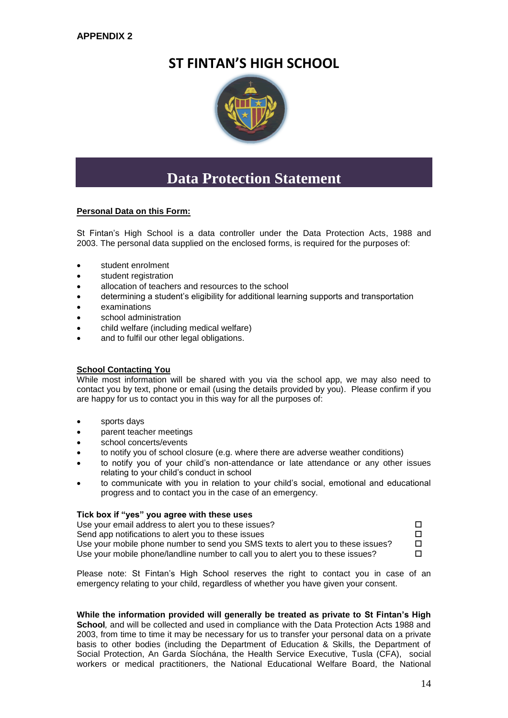# **ST FINTAN'S HIGH SCHOOL**



# **Data Protection Statement**

# **Personal Data on this Form:**

St Fintan's High School is a data controller under the Data Protection Acts, 1988 and 2003. The personal data supplied on the enclosed forms, is required for the purposes of:

- student enrolment
- student registration
- allocation of teachers and resources to the school
- determining a student's eligibility for additional learning supports and transportation
- examinations
- school administration
- child welfare (including medical welfare)
- and to fulfil our other legal obligations.

# **School Contacting You**

While most information will be shared with you via the school app, we may also need to contact you by text, phone or email (using the details provided by you). Please confirm if you are happy for us to contact you in this way for all the purposes of:

- sports days
- parent teacher meetings
- school concerts/events
- to notify you of school closure (e.g. where there are adverse weather conditions)
- to notify you of your child's non-attendance or late attendance or any other issues relating to your child's conduct in school
- to communicate with you in relation to your child's social, emotional and educational progress and to contact you in the case of an emergency.

### **Tick box if "yes" you agree with these uses**

| Use your email address to alert you to these issues?                             |  |
|----------------------------------------------------------------------------------|--|
| Send app notifications to alert you to these issues                              |  |
| Use your mobile phone number to send you SMS texts to alert you to these issues? |  |
| Use your mobile phone/landline number to call you to alert you to these issues?  |  |

Please note: St Fintan's High School reserves the right to contact you in case of an emergency relating to your child, regardless of whether you have given your consent.

**While the information provided will generally be treated as private to St Fintan's High School***,* and will be collected and used in compliance with the Data Protection Acts 1988 and 2003, from time to time it may be necessary for us to transfer your personal data on a private basis to other bodies (including the Department of Education & Skills, the Department of Social Protection, An Garda Síochána, the Health Service Executive, Tusla (CFA), social workers or medical practitioners, the National Educational Welfare Board, the National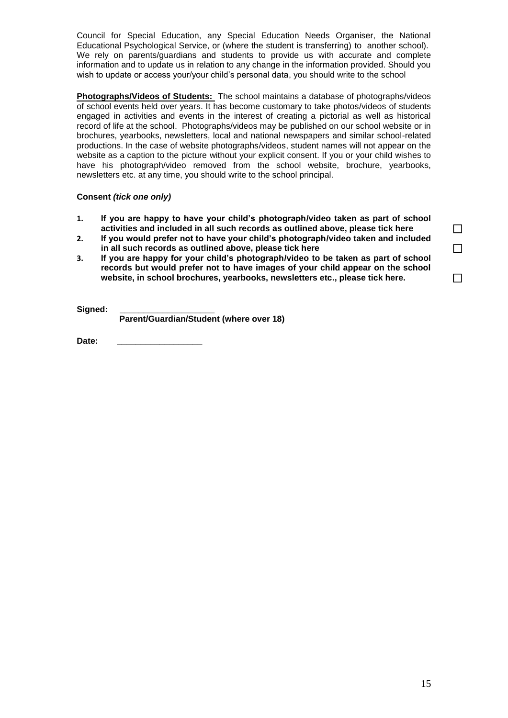Council for Special Education, any Special Education Needs Organiser, the National Educational Psychological Service, or (where the student is transferring) to another school). We rely on parents/guardians and students to provide us with accurate and complete information and to update us in relation to any change in the information provided. Should you wish to update or access your/your child's personal data, you should write to the school

**Photographs/Videos of Students:** The school maintains a database of photographs/videos of school events held over years. It has become customary to take photos/videos of students engaged in activities and events in the interest of creating a pictorial as well as historical record of life at the school. Photographs/videos may be published on our school website or in brochures, yearbooks, newsletters, local and national newspapers and similar school-related productions. In the case of website photographs/videos, student names will not appear on the website as a caption to the picture without your explicit consent. If you or your child wishes to have his photograph/video removed from the school website, brochure, vearbooks, newsletters etc. at any time, you should write to the school principal.

# **Consent** *(tick one only)*

- **1. If you are happy to have your child's photograph/video taken as part of school activities and included in all such records as outlined above, please tick here**
- **2. If you would prefer not to have your child's photograph/video taken and included in all such records as outlined above, please tick here**
- **3. If you are happy for your child's photograph/video to be taken as part of school records but would prefer not to have images of your child appear on the school website, in school brochures, yearbooks, newsletters etc., please tick here.**

Sianed:

 **Parent/Guardian/Student (where over 18)** 

Date:

| ⊔   |
|-----|
| l 1 |
|     |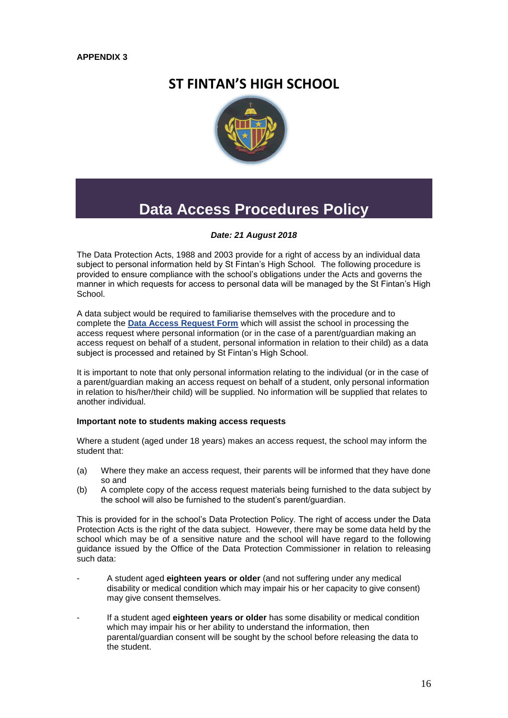# **ST FINTAN'S HIGH SCHOOL**



# **Data Access Procedures Policy**

# *Date: 21 August 2018*

The Data Protection Acts, 1988 and 2003 provide for a right of access by an individual data subject to personal information held by St Fintan's High School*.* The following procedure is provided to ensure compliance with the school's obligations under the Acts and governs the manner in which requests for access to personal data will be managed by the St Fintan's High School.

A data subject would be required to familiarise themselves with the procedure and to complete the **[Data Access Request Form](http://www.dataprotectionschools.ie/Document-Library/Data%20Access%20Request%20Form.doc)** which will assist the school in processing the access request where personal information (or in the case of a parent/guardian making an access request on behalf of a student, personal information in relation to their child) as a data subject is processed and retained by St Fintan's High School*.*

It is important to note that only personal information relating to the individual (or in the case of a parent/guardian making an access request on behalf of a student, only personal information in relation to his/her/their child) will be supplied. No information will be supplied that relates to another individual.

### **Important note to students making access requests**

Where a student (aged under 18 years) makes an access request, the school may inform the student that:

- (a) Where they make an access request, their parents will be informed that they have done so and
- (b) A complete copy of the access request materials being furnished to the data subject by the school will also be furnished to the student's parent/guardian.

This is provided for in the school's Data Protection Policy. The right of access under the Data Protection Acts is the right of the data subject. However, there may be some data held by the school which may be of a sensitive nature and the school will have regard to the following guidance issued by the Office of the Data Protection Commissioner in relation to releasing such data:

- A student aged **eighteen years or older** (and not suffering under any medical disability or medical condition which may impair his or her capacity to give consent) may give consent themselves.
- If a student aged **eighteen years or older** has some disability or medical condition which may impair his or her ability to understand the information, then parental/guardian consent will be sought by the school before releasing the data to the student.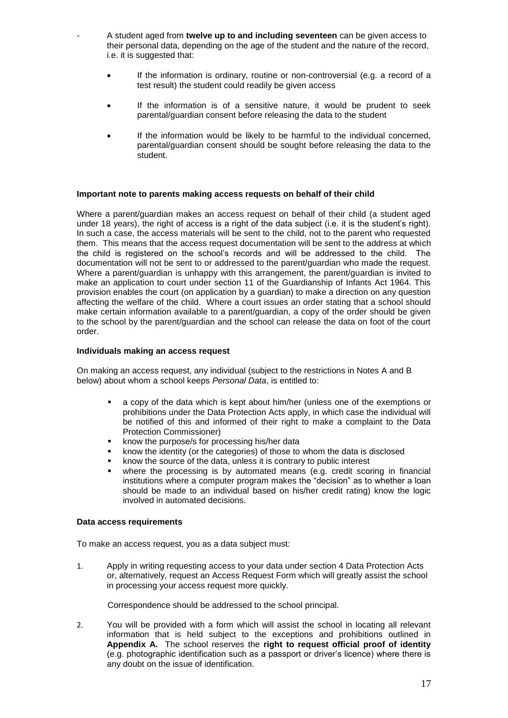- A student aged from **twelve up to and including seventeen** can be given access to their personal data, depending on the age of the student and the nature of the record, i.e. it is suggested that:
- If the information is ordinary, routine or non-controversial (e.g. a record of a test result) the student could readily be given access
- If the information is of a sensitive nature, it would be prudent to seek parental/guardian consent before releasing the data to the student
- If the information would be likely to be harmful to the individual concerned, parental/guardian consent should be sought before releasing the data to the student.

### **Important note to parents making access requests on behalf of their child**

Where a parent/guardian makes an access request on behalf of their child (a student aged under 18 years), the right of access is a right of the data subject (i.e. it is the student's right). In such a case, the access materials will be sent to the child, not to the parent who requested them. This means that the access request documentation will be sent to the address at which the child is registered on the school's records and will be addressed to the child. The documentation will not be sent to or addressed to the parent/guardian who made the request. Where a parent/guardian is unhappy with this arrangement, the parent/guardian is invited to make an application to court under section 11 of the Guardianship of Infants Act 1964. This provision enables the court (on application by a guardian) to make a direction on any question affecting the welfare of the child. Where a court issues an order stating that a school should make certain information available to a parent/guardian, a copy of the order should be given to the school by the parent/guardian and the school can release the data on foot of the court order.

### **Individuals making an access request**

On making an access request, any individual (subject to the restrictions in Notes A and B below) about whom a school keeps *Personal Data*, is entitled to:

- a copy of the data which is kept about him/her (unless one of the exemptions or prohibitions under the Data Protection Acts apply, in which case the individual will be notified of this and informed of their right to make a complaint to the Data Protection Commissioner)
- **EXECUTE:** know the purpose/s for processing his/her data
- know the identity (or the categories) of those to whom the data is disclosed
- know the source of the data, unless it is contrary to public interest
- where the processing is by automated means (e.g. credit scoring in financial institutions where a computer program makes the "decision" as to whether a loan should be made to an individual based on his/her credit rating) know the logic involved in automated decisions.

### **Data access requirements**

To make an access request, you as a data subject must:

1. Apply in writing requesting access to your data under section 4 Data Protection Acts or, alternatively, request an Access Request Form which will greatly assist the school in processing your access request more quickly.

Correspondence should be addressed to the school principal.

2. You will be provided with a form which will assist the school in locating all relevant information that is held subject to the exceptions and prohibitions outlined in **Appendix A.** The school reserves the **right to request official proof of identity** (e.g. photographic identification such as a passport or driver's licence) where there is any doubt on the issue of identification.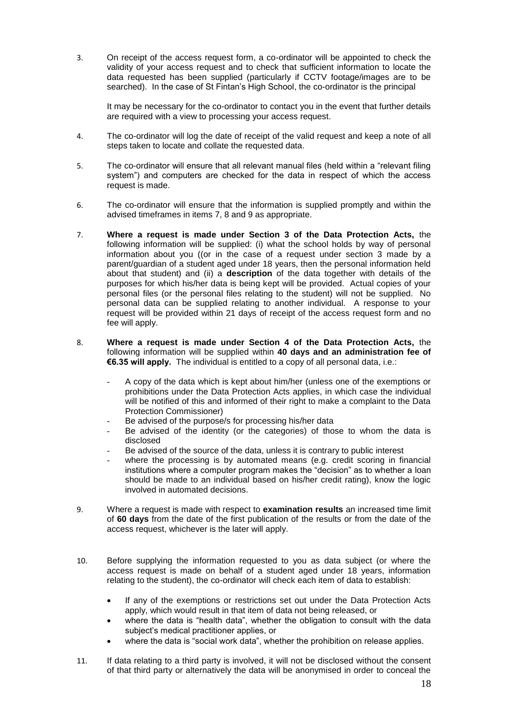3. On receipt of the access request form, a co-ordinator will be appointed to check the validity of your access request and to check that sufficient information to locate the data requested has been supplied (particularly if CCTV footage/images are to be searched). In the case of St Fintan's High School, the co-ordinator is the principal

It may be necessary for the co-ordinator to contact you in the event that further details are required with a view to processing your access request.

- 4. The co-ordinator will log the date of receipt of the valid request and keep a note of all steps taken to locate and collate the requested data.
- 5. The co-ordinator will ensure that all relevant manual files (held within a "relevant filing system") and computers are checked for the data in respect of which the access request is made.
- 6. The co-ordinator will ensure that the information is supplied promptly and within the advised timeframes in items 7, 8 and 9 as appropriate.
- 7. **Where a request is made under Section 3 of the Data Protection Acts,** the following information will be supplied: (i) what the school holds by way of personal information about you ((or in the case of a request under section 3 made by a parent/guardian of a student aged under 18 years, then the personal information held about that student) and (ii) a **description** of the data together with details of the purposes for which his/her data is being kept will be provided. Actual copies of your personal files (or the personal files relating to the student) will not be supplied. No personal data can be supplied relating to another individual. A response to your request will be provided within 21 days of receipt of the access request form and no fee will apply.
- 8. **Where a request is made under Section 4 of the Data Protection Acts,** the following information will be supplied within **40 days and an administration fee of €6.35 will apply.** The individual is entitled to a copy of all personal data, i.e.:
	- A copy of the data which is kept about him/her (unless one of the exemptions or prohibitions under the Data Protection Acts applies, in which case the individual will be notified of this and informed of their right to make a complaint to the Data Protection Commissioner)
	- Be advised of the purpose/s for processing his/her data
	- Be advised of the identity (or the categories) of those to whom the data is disclosed
	- Be advised of the source of the data, unless it is contrary to public interest
	- where the processing is by automated means (e.g. credit scoring in financial institutions where a computer program makes the "decision" as to whether a loan should be made to an individual based on his/her credit rating), know the logic involved in automated decisions.
- 9. Where a request is made with respect to **examination results** an increased time limit of **60 days** from the date of the first publication of the results or from the date of the access request, whichever is the later will apply.
- 10. Before supplying the information requested to you as data subject (or where the access request is made on behalf of a student aged under 18 years, information relating to the student), the co-ordinator will check each item of data to establish:
	- If any of the exemptions or restrictions set out under the Data Protection Acts apply, which would result in that item of data not being released, or
	- where the data is "health data", whether the obligation to consult with the data subject's medical practitioner applies, or
	- where the data is "social work data", whether the prohibition on release applies.
- 11. If data relating to a third party is involved, it will not be disclosed without the consent of that third party or alternatively the data will be anonymised in order to conceal the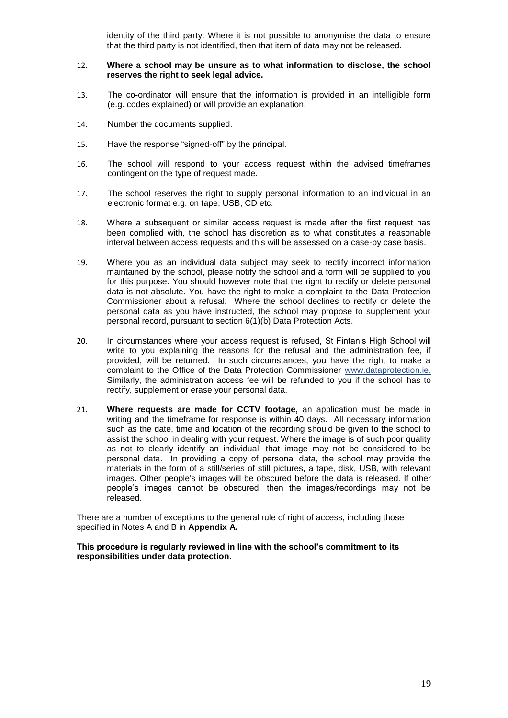identity of the third party. Where it is not possible to anonymise the data to ensure that the third party is not identified, then that item of data may not be released.

### 12. **Where a school may be unsure as to what information to disclose, the school reserves the right to seek legal advice.**

- 13. The co-ordinator will ensure that the information is provided in an intelligible form (e.g. codes explained) or will provide an explanation.
- 14. Number the documents supplied.
- 15. Have the response "signed-off" by the principal.
- 16. The school will respond to your access request within the advised timeframes contingent on the type of request made.
- 17. The school reserves the right to supply personal information to an individual in an electronic format e.g. on tape, USB, CD etc.
- 18. Where a subsequent or similar access request is made after the first request has been complied with, the school has discretion as to what constitutes a reasonable interval between access requests and this will be assessed on a case-by case basis.
- 19. Where you as an individual data subject may seek to rectify incorrect information maintained by the school, please notify the school and a form will be supplied to you for this purpose. You should however note that the right to rectify or delete personal data is not absolute. You have the right to make a complaint to the Data Protection Commissioner about a refusal. Where the school declines to rectify or delete the personal data as you have instructed, the school may propose to supplement your personal record, pursuant to section 6(1)(b) Data Protection Acts.
- 20. In circumstances where your access request is refused, St Fintan's High School will write to you explaining the reasons for the refusal and the administration fee, if provided, will be returned. In such circumstances, you have the right to make a complaint to the Office of the Data Protection Commissioner [www.dataprotection.ie.](http://www.dataprotection.ie/) Similarly, the administration access fee will be refunded to you if the school has to rectify, supplement or erase your personal data.
- 21. **Where requests are made for CCTV footage,** an application must be made in writing and the timeframe for response is within 40 days. All necessary information such as the date, time and location of the recording should be given to the school to assist the school in dealing with your request. Where the image is of such poor quality as not to clearly identify an individual, that image may not be considered to be personal data. In providing a copy of personal data, the school may provide the materials in the form of a still/series of still pictures, a tape, disk, USB, with relevant images. Other people's images will be obscured before the data is released. If other people's images cannot be obscured, then the images/recordings may not be released.

There are a number of exceptions to the general rule of right of access, including those specified in Notes A and B in **Appendix A.**

**This procedure is regularly reviewed in line with the school's commitment to its responsibilities under data protection.**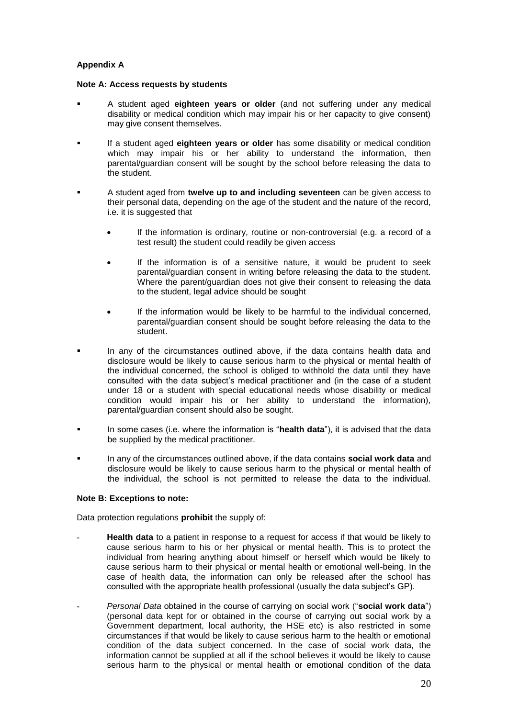# **Appendix A**

### **Note A: Access requests by students**

- A student aged **eighteen years or older** (and not suffering under any medical disability or medical condition which may impair his or her capacity to give consent) may give consent themselves.
- If a student aged **eighteen years or older** has some disability or medical condition which may impair his or her ability to understand the information, then parental/guardian consent will be sought by the school before releasing the data to the student.
- A student aged from **twelve up to and including seventeen** can be given access to their personal data, depending on the age of the student and the nature of the record, i.e. it is suggested that
	- If the information is ordinary, routine or non-controversial (e.g. a record of a test result) the student could readily be given access
	- If the information is of a sensitive nature, it would be prudent to seek parental/guardian consent in writing before releasing the data to the student. Where the parent/guardian does not give their consent to releasing the data to the student, legal advice should be sought
	- If the information would be likely to be harmful to the individual concerned, parental/guardian consent should be sought before releasing the data to the .<br>student.
- In any of the circumstances outlined above, if the data contains health data and disclosure would be likely to cause serious harm to the physical or mental health of the individual concerned, the school is obliged to withhold the data until they have consulted with the data subject's medical practitioner and (in the case of a student under 18 or a student with special educational needs whose disability or medical condition would impair his or her ability to understand the information), parental/guardian consent should also be sought.
- In some cases (i.e. where the information is "**health data**"), it is advised that the data be supplied by the medical practitioner.
- In any of the circumstances outlined above, if the data contains **social work data** and disclosure would be likely to cause serious harm to the physical or mental health of the individual, the school is not permitted to release the data to the individual.

### **Note B: Exceptions to note:**

Data protection regulations **prohibit** the supply of:

- **Health data** to a patient in response to a request for access if that would be likely to cause serious harm to his or her physical or mental health. This is to protect the individual from hearing anything about himself or herself which would be likely to cause serious harm to their physical or mental health or emotional well-being. In the case of health data, the information can only be released after the school has consulted with the appropriate health professional (usually the data subject's GP).
- *Personal Data* obtained in the course of carrying on social work ("**social work data**") (personal data kept for or obtained in the course of carrying out social work by a Government department, local authority, the HSE etc) is also restricted in some circumstances if that would be likely to cause serious harm to the health or emotional condition of the data subject concerned. In the case of social work data, the information cannot be supplied at all if the school believes it would be likely to cause serious harm to the physical or mental health or emotional condition of the data